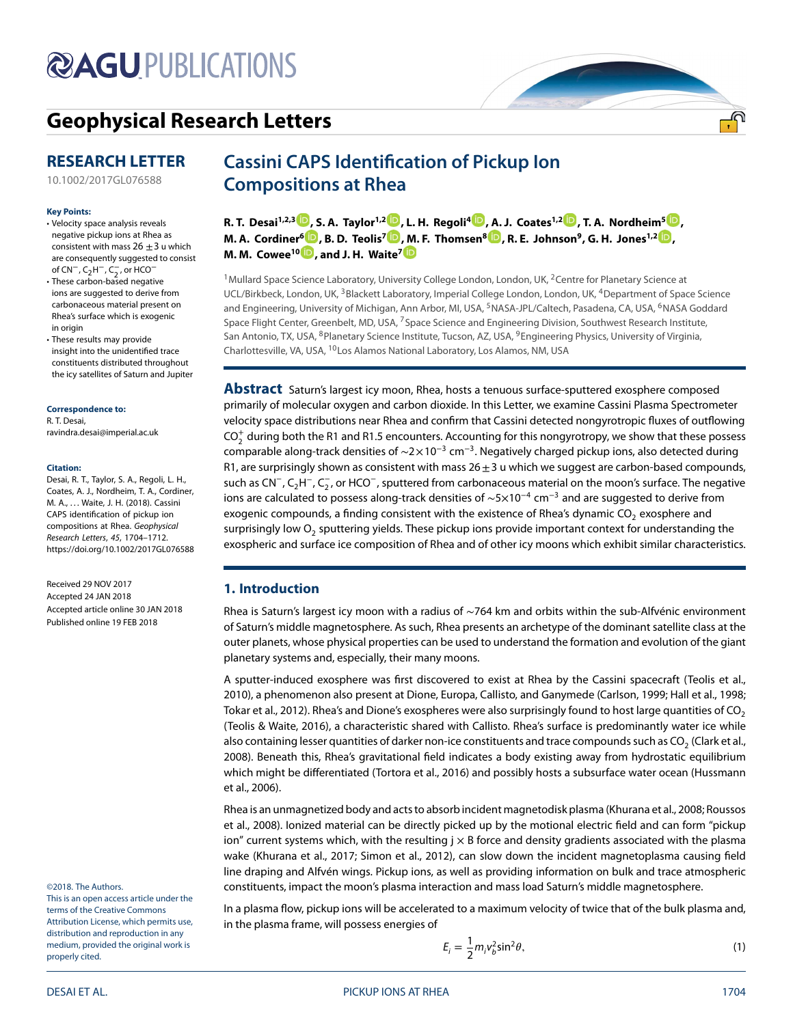# **@AGUPUBLICATIONS**

# **[Geophysical Research Letters](http://onlinelibrary.wiley.com/journal/10.1002/(ISSN)1944-8007)**

# **RESEARCH LETTER**

[10.1002/2017GL076588](http://dx.doi.org/10.1002/2017GL076588)

#### **Key Points:**

- Velocity space analysis reveals negative pickup ions at Rhea as consistent with mass  $26 \pm 3$  u which are consequently suggested to consist of CN<sup>-</sup>, C<sub>2</sub>H<sup>-</sup>, C<sub>2</sub>, or HCO<sup>-</sup>
- These carbon-based negative ions are suggested to derive from carbonaceous material present on Rhea's surface which is exogenic in origin
- These results may provide insight into the unidentified trace constituents distributed throughout the icy satellites of Saturn and Jupiter

**Correspondence to:**

R. T. Desai, ravindra.desai@imperial.ac.uk

#### **Citation:**

Desai, R. T., Taylor, S. A., Regoli, L. H., Coates, A. J., Nordheim, T. A., Cordiner, M. A., …Waite, J. H. (2018). Cassini CAPS identification of pickup ion compositions at Rhea. Geophysical Research Letters, 45, 1704–1712. <https://doi.org/10.1002/2017GL076588>

Received 29 NOV 2017 Accepted 24 JAN 2018 Accepted article online 30 JAN 2018 Published online 19 FEB 2018

#### ©2018. The Authors.

This is an open access article under the terms of th[e](http://creativecommons.org/licenses/by/4.0/) Creative Commons Attribution License, which permits use, distribution and reproduction in any medium, provided the original work is properly cited.

# **Cassini CAPS Identification of Pickup Ion Compositions at Rhea**

**R. T. Desai<sup>1[,](http://orcid.org/0000-0001-5888-4636)2,3</sup> <b>D**, S. [A.](http://orcid.org/0000-0003-0140-9265) Taylor<sup>1,2</sup> D, L. H. Regoli<sup>4</sup> D, A. J. Coates<sup>1,2</sup> D, T. A. Nordheim<sup>5</sup> D, **M. A. Cordine[r](http://orcid.org/0000-0003-3117-4030)[6](http://orcid.org/0000-0001-8233-2436) , B. D. Teolis7 [,](http://orcid.org/0000-0001-8386-6413) [M.](http://orcid.org/0000-0002-1978-1025) F. Thomsen8 , R. E. Johnson9, G. H. Jones1,[2](http://orcid.org/0000-0002-5859-1136) , M. M. Cowee<sup>10</sup> , and J. H. Waite7**

<sup>1</sup> Mullard Space Science Laboratory, University College London, London, UK, <sup>2</sup> Centre for Planetary Science at UCL/Birkbeck, London, UK, 3Blackett Laboratory, Imperial College London, London, UK, 4Department of Space Science and Engineering, University of Michigan, Ann Arbor, MI, USA, <sup>5</sup>NASA-JPL/Caltech, Pasadena, CA, USA, <sup>6</sup>NASA Goddard Space Flight Center, Greenbelt, MD, USA, <sup>7</sup>Space Science and Engineering Division, Southwest Research Institute, San Antonio, TX, USA, <sup>8</sup>Planetary Science Institute, Tucson, AZ, USA, <sup>9</sup>Engineering Physics, University of Virginia, Charlottesville, VA, USA, 10Los Alamos National Laboratory, Los Alamos, NM, USA

**Abstract** Saturn's largest icy moon, Rhea, hosts a tenuous surface-sputtered exosphere composed primarily of molecular oxygen and carbon dioxide. In this Letter, we examine Cassini Plasma Spectrometer velocity space distributions near Rhea and confirm that Cassini detected nongyrotropic fluxes of outflowing  $\text{CO}_2^+$  during both the R1 and R1.5 encounters. Accounting for this nongyrotropy, we show that these possess comparable along-track densities of  $\sim$ 2×10<sup>-3</sup> cm<sup>-3</sup>. Negatively charged pickup ions, also detected during R1, are surprisingly shown as consistent with mass  $26 \pm 3$  u which we suggest are carbon-based compounds, such as CN<sup>−</sup>, C<sub>2</sub>H<sup>−</sup>, C<sub>2</sub>, or HCO<sup>−</sup>, sputtered from carbonaceous material on the moon's surface. The negative ions are calculated to possess along-track densities of  $\sim$ 5×10<sup>-4</sup> cm<sup>-3</sup> and are suggested to derive from exogenic compounds, a finding consistent with the existence of Rhea's dynamic  $CO<sub>2</sub>$  exosphere and surprisingly low  $O<sub>2</sub>$  sputtering yields. These pickup ions provide important context for understanding the exospheric and surface ice composition of Rhea and of other icy moons which exhibit similar characteristics.

# **1. Introduction**

Rhea is Saturn's largest icy moon with a radius of ∼764 km and orbits within the sub-Alfvénic environment of Saturn's middle magnetosphere. As such, Rhea presents an archetype of the dominant satellite class at the outer planets, whose physical properties can be used to understand the formation and evolution of the giant planetary systems and, especially, their many moons.

A sputter-induced exosphere was first discovered to exist at Rhea by the Cassini spacecraft (Teolis et al., [2010\)](#page-8-0), a phenomenon also present at Dione, Europa, Callisto, and Ganymede (Carlson, [1999;](#page-7-0) Hall et al., [1998;](#page-7-1) Tokar et al., [2012\)](#page-8-1). Rhea's and Dione's exospheres were also surprisingly found to host large quantities of CO<sub>2</sub> (Teolis & Waite, [2016\)](#page-8-2), a characteristic shared with Callisto. Rhea's surface is predominantly water ice while also containing lesser quantities of darker non-ice constituents and trace compounds such as  $CO<sub>2</sub>$  (Clark et al., [2008\)](#page-7-2). Beneath this, Rhea's gravitational field indicates a body existing away from hydrostatic equilibrium which might be differentiated (Tortora et al., [2016\)](#page-8-3) and possibly hosts a subsurface water ocean (Hussmann et al., [2006\)](#page-7-3).

Rhea is an unmagnetized body and acts to absorb incident magnetodisk plasma (Khurana et al., [2008;](#page-7-4) Roussos et al., [2008\)](#page-8-4). Ionized material can be directly picked up by the motional electric field and can form "pickup ion" current systems which, with the resulting  $j \times B$  force and density gradients associated with the plasma wake (Khurana et al., [2017;](#page-7-5) Simon et al., [2012\)](#page-8-5), can slow down the incident magnetoplasma causing field line draping and Alfvén wings. Pickup ions, as well as providing information on bulk and trace atmospheric constituents, impact the moon's plasma interaction and mass load Saturn's middle magnetosphere.

In a plasma flow, pickup ions will be accelerated to a maximum velocity of twice that of the bulk plasma and, in the plasma frame, will possess energies of

<span id="page-0-0"></span>
$$
E_i = \frac{1}{2} m_i v_b^2 \sin^2 \theta,\tag{1}
$$

<u>ரி</u>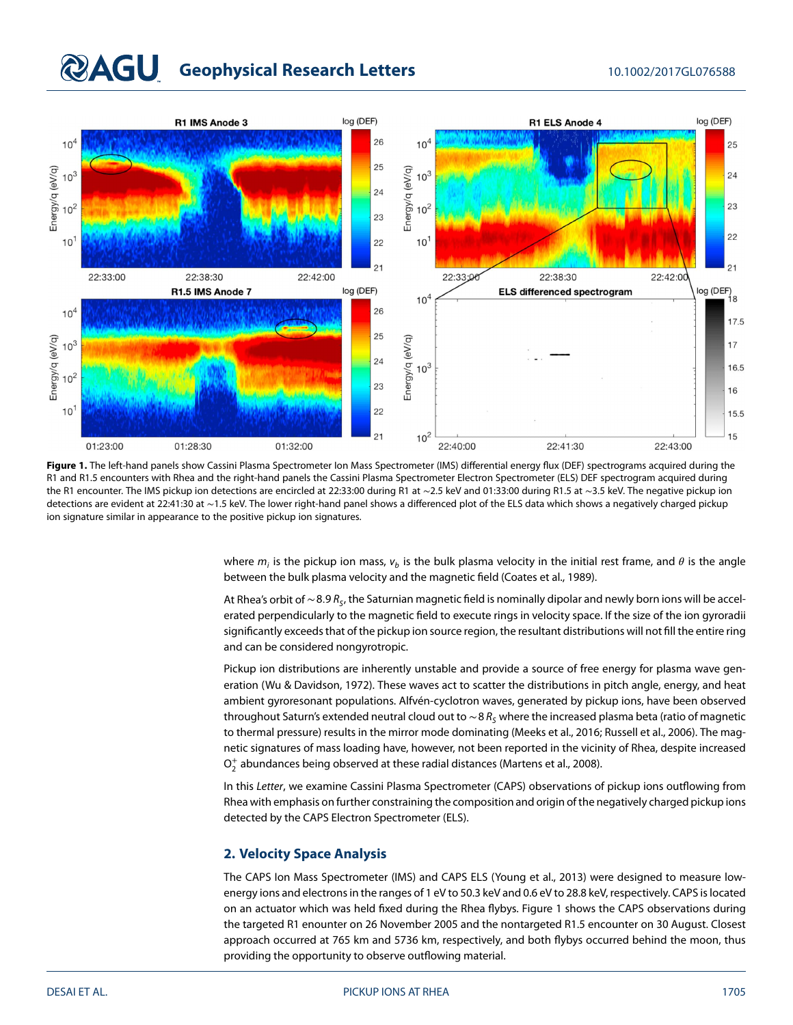# **QAGU** Geophysical Research Letters 10.1002/2017GL076588



<span id="page-1-0"></span>Figure 1. The left-hand panels show Cassini Plasma Spectrometer Ion Mass Spectrometer (IMS) differential energy flux (DEF) spectrograms acquired during the R1 and R1.5 encounters with Rhea and the right-hand panels the Cassini Plasma Spectrometer Electron Spectrometer (ELS) DEF spectrogram acquired during the R1 encounter. The IMS pickup ion detections are encircled at 22:33:00 during R1 at ∼2.5 keV and 01:33:00 during R1.5 at ∼3.5 keV. The negative pickup ion detections are evident at 22:41:30 at ∼1.5 keV. The lower right-hand panel shows a differenced plot of the ELS data which shows a negatively charged pickup ion signature similar in appearance to the positive pickup ion signatures.

> where  $m_i$  is the pickup ion mass,  $v_b$  is the bulk plasma velocity in the initial rest frame, and  $\theta$  is the angle between the bulk plasma velocity and the magnetic field (Coates et al., [1989\)](#page-7-6).

> At Rhea's orbit of ∼8.9 R<sub>S</sub>, the Saturnian magnetic field is nominally dipolar and newly born ions will be accelerated perpendicularly to the magnetic field to execute rings in velocity space. If the size of the ion gyroradii significantly exceeds that of the pickup ion source region, the resultant distributions will not fill the entire ring and can be considered nongyrotropic.

> Pickup ion distributions are inherently unstable and provide a source of free energy for plasma wave generation (Wu & Davidson, [1972\)](#page-8-6). These waves act to scatter the distributions in pitch angle, energy, and heat ambient gyroresonant populations. Alfvén-cyclotron waves, generated by pickup ions, have been observed throughout Saturn's extended neutral cloud out to ~8  $R_S$  where the increased plasma beta (ratio of magnetic to thermal pressure) results in the mirror mode dominating (Meeks et al., [2016;](#page-8-7) Russell et al., [2006\)](#page-8-8). The magnetic signatures of mass loading have, however, not been reported in the vicinity of Rhea, despite increased  $O_2^+$  abundances being observed at these radial distances (Martens et al., [2008\)](#page-7-7).

> In this Letter, we examine Cassini Plasma Spectrometer (CAPS) observations of pickup ions outflowing from Rhea with emphasis on further constraining the composition and origin of the negatively charged pickup ions detected by the CAPS Electron Spectrometer (ELS).

# **2. Velocity Space Analysis**

The CAPS Ion Mass Spectrometer (IMS) and CAPS ELS (Young et al., [2013\)](#page-8-9) were designed to measure lowenergy ions and electrons in the ranges of 1 eV to 50.3 keV and 0.6 eV to 28.8 keV, respectively. CAPS is located on an actuator which was held fixed during the Rhea flybys. Figure [1](#page-1-0) shows the CAPS observations during the targeted R1 enounter on 26 November 2005 and the nontargeted R1.5 encounter on 30 August. Closest approach occurred at 765 km and 5736 km, respectively, and both flybys occurred behind the moon, thus providing the opportunity to observe outflowing material.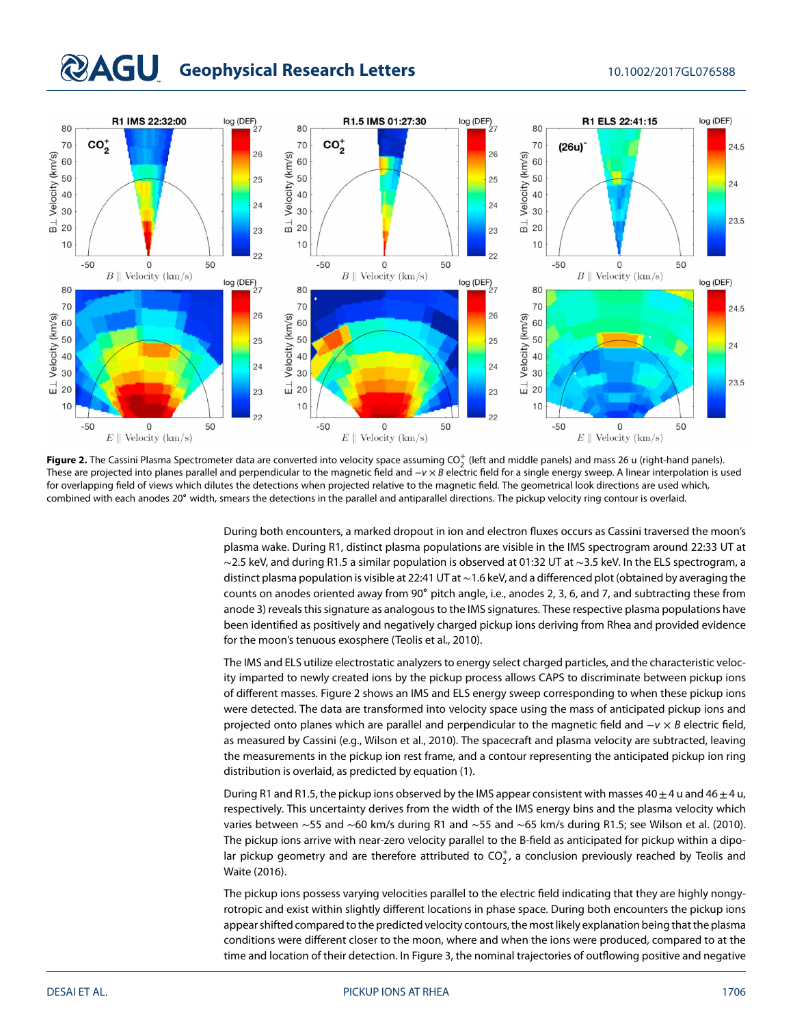# **QAGU** Geophysical Research Letters 10.1002/2017GL076588



<span id="page-2-0"></span>**Figure 2.** The Cassini Plasma Spectrometer data are converted into velocity space assuming CO<sup>+</sup> (left and middle panels) and mass 26 u (right-hand panels). These are projected into planes parallel and perpendicular to the magnetic field and  $-v \times B$  electric field for a single energy sweep. A linear interpolation is used for overlapping field of views which dilutes the detections when projected relative to the magnetic field. The geometrical look directions are used which, combined with each anodes 20∘ width, smears the detections in the parallel and antiparallel directions. The pickup velocity ring contour is overlaid.

During both encounters, a marked dropout in ion and electron fluxes occurs as Cassini traversed the moon's plasma wake. During R1, distinct plasma populations are visible in the IMS spectrogram around 22:33 UT at ∼2.5 keV, and during R1.5 a similar population is observed at 01:32 UT at ∼3.5 keV. In the ELS spectrogram, a distinct plasma population is visible at 22:41 UT at ∼1.6 keV, and a differenced plot (obtained by averaging the counts on anodes oriented away from 90∘ pitch angle, i.e., anodes 2, 3, 6, and 7, and subtracting these from anode 3) reveals this signature as analogous to the IMS signatures. These respective plasma populations have been identified as positively and negatively charged pickup ions deriving from Rhea and provided evidence for the moon's tenuous exosphere (Teolis et al., [2010\)](#page-8-0).

The IMS and ELS utilize electrostatic analyzers to energy select charged particles, and the characteristic velocity imparted to newly created ions by the pickup process allows CAPS to discriminate between pickup ions of different masses. Figure [2](#page-2-0) shows an IMS and ELS energy sweep corresponding to when these pickup ions were detected. The data are transformed into velocity space using the mass of anticipated pickup ions and projected onto planes which are parallel and perpendicular to the magnetic field and −v × B electric field, as measured by Cassini (e.g., Wilson et al., [2010\)](#page-8-10). The spacecraft and plasma velocity are subtracted, leaving the measurements in the pickup ion rest frame, and a contour representing the anticipated pickup ion ring distribution is overlaid, as predicted by equation [\(1\)](#page-0-0).

During R1 and R1.5, the pickup ions observed by the IMS appear consistent with masses 40 $\pm$ 4 u and 46 $\pm$ 4 u, respectively. This uncertainty derives from the width of the IMS energy bins and the plasma velocity which varies between ∼55 and ∼60 km/s during R1 and ∼55 and ∼65 km/s during R1.5; see Wilson et al. [\(2010\)](#page-8-10). The pickup ions arrive with near-zero velocity parallel to the B-field as anticipated for pickup within a dipolar pickup geometry and are therefore attributed to CO $_2^+$ , a conclusion previously reached by Teolis and Waite [\(2016\)](#page-8-2).

The pickup ions possess varying velocities parallel to the electric field indicating that they are highly nongyrotropic and exist within slightly different locations in phase space. During both encounters the pickup ions appear shifted compared to the predicted velocity contours, the most likely explanation being that the plasma conditions were different closer to the moon, where and when the ions were produced, compared to at the time and location of their detection. In Figure [3,](#page-3-0) the nominal trajectories of outflowing positive and negative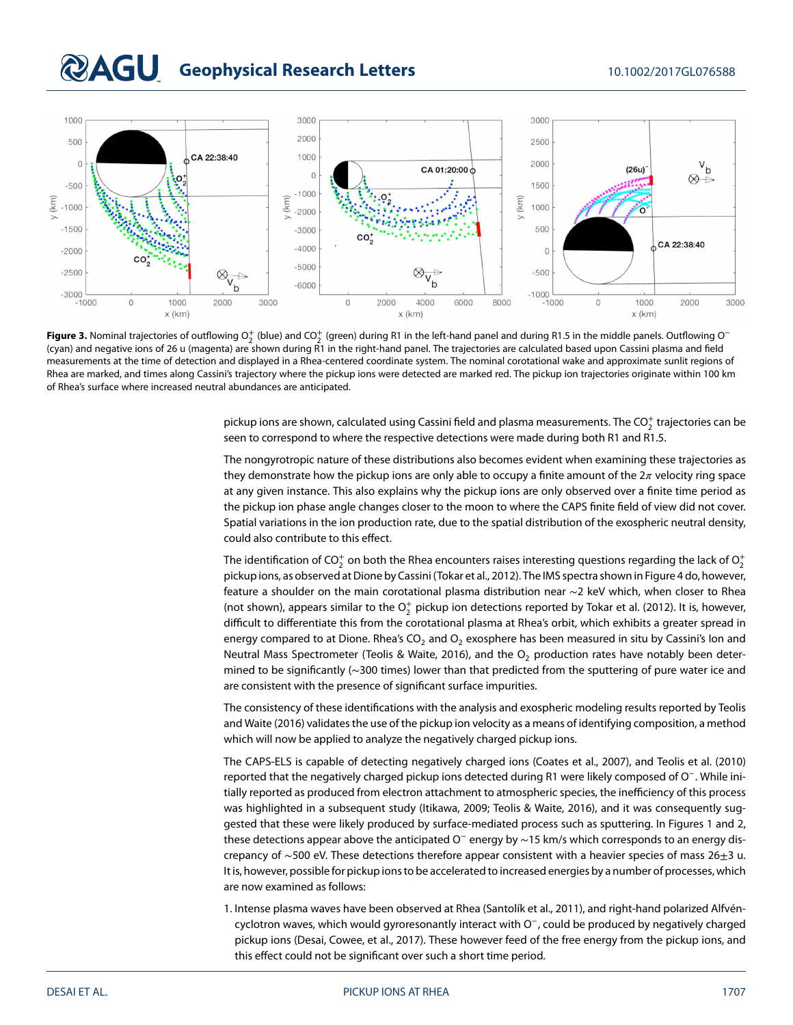# **RAGU** Geophysical Research Letters 10.1002/2017GL076588



<span id="page-3-0"></span>**Figure 3.** Nominal trajectories of outflowing O $_2^+$  (blue) and CO $_2^+$  (green) during R1 in the left-hand panel and during R1.5 in the middle panels. Outflowing O $^-$ (cyan) and negative ions of 26 u (magenta) are shown during R1 in the right-hand panel. The trajectories are calculated based upon Cassini plasma and field measurements at the time of detection and displayed in a Rhea-centered coordinate system. The nominal corotational wake and approximate sunlit regions of Rhea are marked, and times along Cassini's trajectory where the pickup ions were detected are marked red. The pickup ion trajectories originate within 100 km of Rhea's surface where increased neutral abundances are anticipated.

pickup ions are shown, calculated using Cassini field and plasma measurements. The CO $_2^+$  trajectories can be seen to correspond to where the respective detections were made during both R1 and R1.5.

The nongyrotropic nature of these distributions also becomes evident when examining these trajectories as they demonstrate how the pickup ions are only able to occupy a finite amount of the  $2\pi$  velocity ring space at any given instance. This also explains why the pickup ions are only observed over a finite time period as the pickup ion phase angle changes closer to the moon to where the CAPS finite field of view did not cover. Spatial variations in the ion production rate, due to the spatial distribution of the exospheric neutral density, could also contribute to this effect.

The identification of CO $_2^+$  on both the Rhea encounters raises interesting questions regarding the lack of  $\mathrm{O}_2^+$ pickup ions, as observed at Dione by Cassini (Tokar et al., [2012\)](#page-8-1). The IMS spectra shown in Figure [4](#page-4-0) do, however, feature a shoulder on the main corotational plasma distribution near ∼2 keV which, when closer to Rhea (not shown), appears similar to the  $O_2^+$  pickup ion detections reported by Tokar et al. [\(2012\)](#page-8-1). It is, however, difficult to differentiate this from the corotational plasma at Rhea's orbit, which exhibits a greater spread in energy compared to at Dione. Rhea's  $CO<sub>2</sub>$  and  $O<sub>2</sub>$  exosphere has been measured in situ by Cassini's lon and Neutral Mass Spectrometer (Teolis & Waite, [2016\)](#page-8-2), and the  $O<sub>2</sub>$  production rates have notably been determined to be significantly (∼300 times) lower than that predicted from the sputtering of pure water ice and are consistent with the presence of significant surface impurities.

The consistency of these identifications with the analysis and exospheric modeling results reported by Teolis and Waite [\(2016\)](#page-8-2) validates the use of the pickup ion velocity as a means of identifying composition, a method which will now be applied to analyze the negatively charged pickup ions.

The CAPS-ELS is capable of detecting negatively charged ions (Coates et al., [2007\)](#page-7-8), and Teolis et al. [\(2010\)](#page-8-0) reported that the negatively charged pickup ions detected during R1 were likely composed of O<sup>−</sup>. While initially reported as produced from electron attachment to atmospheric species, the inefficiency of this process was highlighted in a subsequent study (Itikawa, [2009;](#page-7-9) Teolis & Waite, [2016\)](#page-8-2), and it was consequently suggested that these were likely produced by surface-mediated process such as sputtering. In Figures [1](#page-1-0) and [2,](#page-2-0) these detections appear above the anticipated O<sup>−</sup> energy by ~15 km/s which corresponds to an energy discrepancy of ∼500 eV. These detections therefore appear consistent with a heavier species of mass 26±3 u. It is, however, possible for pickup ions to be accelerated to increased energies by a number of processes, which are now examined as follows:

1. Intense plasma waves have been observed at Rhea (Santolík et al., [2011\)](#page-8-11), and right-hand polarized Alfvéncyclotron waves, which would gyroresonantly interact with O<sup>−</sup>, could be produced by negatively charged pickup ions (Desai, Cowee, et al., [2017\)](#page-7-10). These however feed of the free energy from the pickup ions, and this effect could not be significant over such a short time period.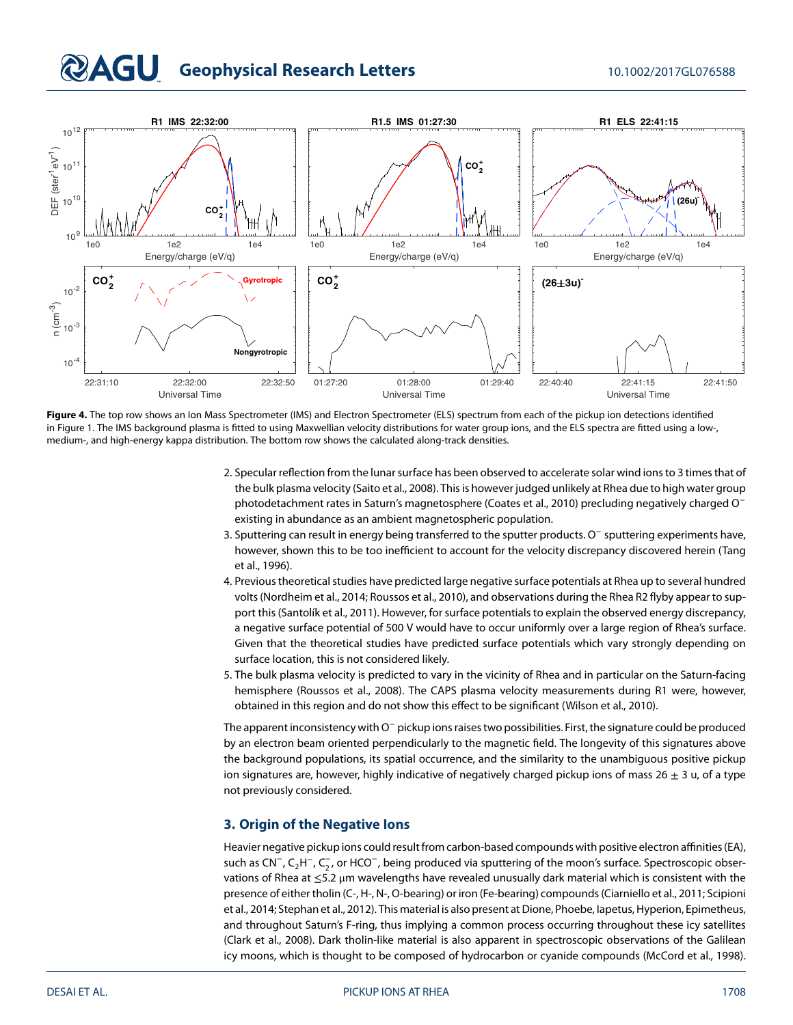# **COAGU** Geophysical Research Letters 10.1002/2017GL076588



<span id="page-4-0"></span>**Figure 4.** The top row shows an Ion Mass Spectrometer (IMS) and Electron Spectrometer (ELS) spectrum from each of the pickup ion detections identified in Figure [1.](#page-1-0) The IMS background plasma is fitted to using Maxwellian velocity distributions for water group ions, and the ELS spectra are fitted using a low-, medium-, and high-energy kappa distribution. The bottom row shows the calculated along-track densities.

- 2. Specular reflection from the lunar surface has been observed to accelerate solar wind ions to 3 times that of the bulk plasma velocity (Saito et al., [2008\)](#page-8-12). This is however judged unlikely at Rhea due to high water group photodetachment rates in Saturn's magnetosphere (Coates et al., [2010\)](#page-7-11) precluding negatively charged O<sup>−</sup> existing in abundance as an ambient magnetospheric population.
- 3. Sputtering can result in energy being transferred to the sputter products. O<sup>−</sup> sputtering experiments have, however, shown this to be too inefficient to account for the velocity discrepancy discovered herein (Tang et al., [1996\)](#page-8-13).
- 4. Previous theoretical studies have predicted large negative surface potentials at Rhea up to several hundred volts (Nordheim et al., [2014;](#page-8-14) Roussos et al., [2010\)](#page-8-15), and observations during the Rhea R2 flyby appear to support this (Santolík et al., [2011\)](#page-8-11). However, for surface potentials to explain the observed energy discrepancy, a negative surface potential of 500 V would have to occur uniformly over a large region of Rhea's surface. Given that the theoretical studies have predicted surface potentials which vary strongly depending on surface location, this is not considered likely.
- 5. The bulk plasma velocity is predicted to vary in the vicinity of Rhea and in particular on the Saturn-facing hemisphere (Roussos et al., [2008\)](#page-8-4). The CAPS plasma velocity measurements during R1 were, however, obtained in this region and do not show this effect to be significant (Wilson et al., [2010\)](#page-8-10).

The apparent inconsistency with O<sup>−</sup> pickup ions raises two possibilities. First, the signature could be produced by an electron beam oriented perpendicularly to the magnetic field. The longevity of this signatures above the background populations, its spatial occurrence, and the similarity to the unambiguous positive pickup ion signatures are, however, highly indicative of negatively charged pickup ions of mass 26  $\pm$  3 u, of a type not previously considered.

# **3. Origin of the Negative Ions**

Heavier negative pickup ions could result from carbon-based compounds with positive electron affinities (EA), such as CN<sup>−</sup>, C<sub>2</sub>H<sup>−</sup>, C<sub>2</sub>, or HCO<sup>−</sup>, being produced via sputtering of the moon's surface. Spectroscopic observations of Rhea at ≤5.2 μm wavelengths have revealed unusually dark material which is consistent with the presence of either tholin (C-, H-, N-, O-bearing) or iron (Fe-bearing) compounds (Ciarniello et al., [2011;](#page-7-12) Scipioni et al., [2014;](#page-8-16) Stephan et al., [2012\)](#page-8-17). This material is also present at Dione, Phoebe, Iapetus, Hyperion, Epimetheus, and throughout Saturn's F-ring, thus implying a common process occurring throughout these icy satellites (Clark et al., [2008\)](#page-7-2). Dark tholin-like material is also apparent in spectroscopic observations of the Galilean icy moons, which is thought to be composed of hydrocarbon or cyanide compounds (McCord et al., [1998\)](#page-8-18).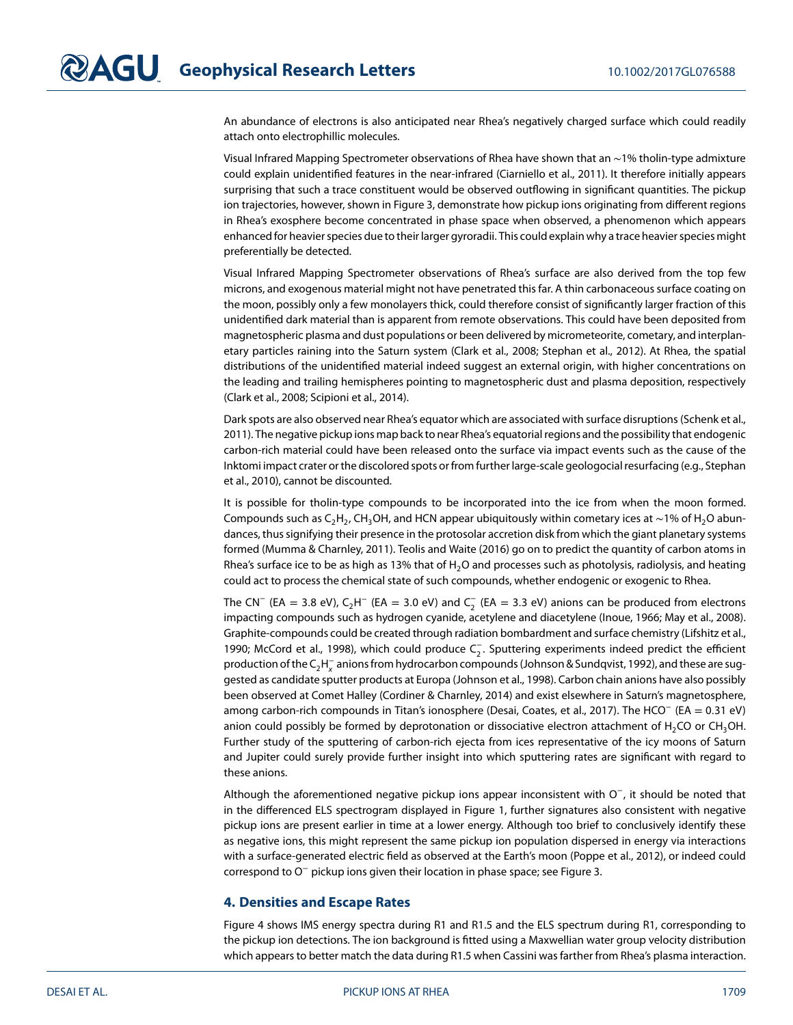An abundance of electrons is also anticipated near Rhea's negatively charged surface which could readily attach onto electrophillic molecules.

Visual Infrared Mapping Spectrometer observations of Rhea have shown that an ∼1% tholin-type admixture could explain unidentified features in the near-infrared (Ciarniello et al., [2011\)](#page-7-12). It therefore initially appears surprising that such a trace constituent would be observed outflowing in significant quantities. The pickup ion trajectories, however, shown in Figure [3,](#page-3-0) demonstrate how pickup ions originating from different regions in Rhea's exosphere become concentrated in phase space when observed, a phenomenon which appears enhanced for heavier species due to their larger gyroradii. This could explain why a trace heavier species might preferentially be detected.

Visual Infrared Mapping Spectrometer observations of Rhea's surface are also derived from the top few microns, and exogenous material might not have penetrated this far. A thin carbonaceous surface coating on the moon, possibly only a few monolayers thick, could therefore consist of significantly larger fraction of this unidentified dark material than is apparent from remote observations. This could have been deposited from magnetospheric plasma and dust populations or been delivered by micrometeorite, cometary, and interplanetary particles raining into the Saturn system (Clark et al., [2008;](#page-7-2) Stephan et al., [2012\)](#page-8-17). At Rhea, the spatial distributions of the unidentified material indeed suggest an external origin, with higher concentrations on the leading and trailing hemispheres pointing to magnetospheric dust and plasma deposition, respectively (Clark et al., [2008;](#page-7-2) Scipioni et al., [2014\)](#page-8-16).

Dark spots are also observed near Rhea's equator which are associated with surface disruptions (Schenk et al., [2011\)](#page-8-19). The negative pickup ions map back to near Rhea's equatorial regions and the possibility that endogenic carbon-rich material could have been released onto the surface via impact events such as the cause of the Inktomi impact crater or the discolored spots or from further large-scale geologocial resurfacing (e.g., Stephan et al., [2010\)](#page-8-20), cannot be discounted.

It is possible for tholin-type compounds to be incorporated into the ice from when the moon formed. Compounds such as C<sub>2</sub>H<sub>2</sub>, CH<sub>3</sub>OH, and HCN appear ubiquitously within cometary ices at ∼1% of H<sub>2</sub>O abundances, thus signifying their presence in the protosolar accretion disk from which the giant planetary systems formed (Mumma & Charnley, [2011\)](#page-8-21). Teolis and Waite [\(2016\)](#page-8-2) go on to predict the quantity of carbon atoms in Rhea's surface ice to be as high as 13% that of H<sub>2</sub>O and processes such as photolysis, radiolysis, and heating could act to process the chemical state of such compounds, whether endogenic or exogenic to Rhea.

The CN<sup>−</sup> (EA = 3.8 eV), C<sub>2</sub>H<sup>−</sup> (EA = 3.0 eV) and C<sub>2</sub> (EA = 3.3 eV) anions can be produced from electrons impacting compounds such as hydrogen cyanide, acetylene and diacetylene (Inoue, [1966;](#page-7-13) May et al., [2008\)](#page-7-14). Graphite-compounds could be created through radiation bombardment and surface chemistry (Lifshitz et al., [1990;](#page-7-15) McCord et al., [1998\)](#page-8-18), which could produce C<sub>2</sub>. Sputtering experiments indeed predict the efficient production of the C<sub>2</sub>H<sub> $_\chi^-$ </sub> anions from hydrocarbon compounds (Johnson & Sundqvist, [1992\)](#page-7-16), and these are suggested as candidate sputter products at Europa (Johnson et al., [1998\)](#page-7-17). Carbon chain anions have also possibly been observed at Comet Halley (Cordiner & Charnley, [2014\)](#page-7-18) and exist elsewhere in Saturn's magnetosphere, among carbon-rich compounds in Titan's ionosphere (Desai, Coates, et al., [2017\)](#page-7-19). The HCO<sup>−</sup> (EA = 0*.*31 eV) anion could possibly be formed by deprotonation or dissociative electron attachment of  $H_2CO$  or CH<sub>3</sub>OH. Further study of the sputtering of carbon-rich ejecta from ices representative of the icy moons of Saturn and Jupiter could surely provide further insight into which sputtering rates are significant with regard to these anions.

Although the aforementioned negative pickup ions appear inconsistent with O<sup>−</sup>, it should be noted that in the differenced ELS spectrogram displayed in Figure [1,](#page-1-0) further signatures also consistent with negative pickup ions are present earlier in time at a lower energy. Although too brief to conclusively identify these as negative ions, this might represent the same pickup ion population dispersed in energy via interactions with a surface-generated electric field as observed at the Earth's moon (Poppe et al., [2012\)](#page-8-22), or indeed could correspond to O<sup>−</sup> pickup ions given their location in phase space; see Figure [3.](#page-3-0)

### **4. Densities and Escape Rates**

Figure [4](#page-4-0) shows IMS energy spectra during R1 and R1.5 and the ELS spectrum during R1, corresponding to the pickup ion detections. The ion background is fitted using a Maxwellian water group velocity distribution which appears to better match the data during R1.5 when Cassini was farther from Rhea's plasma interaction.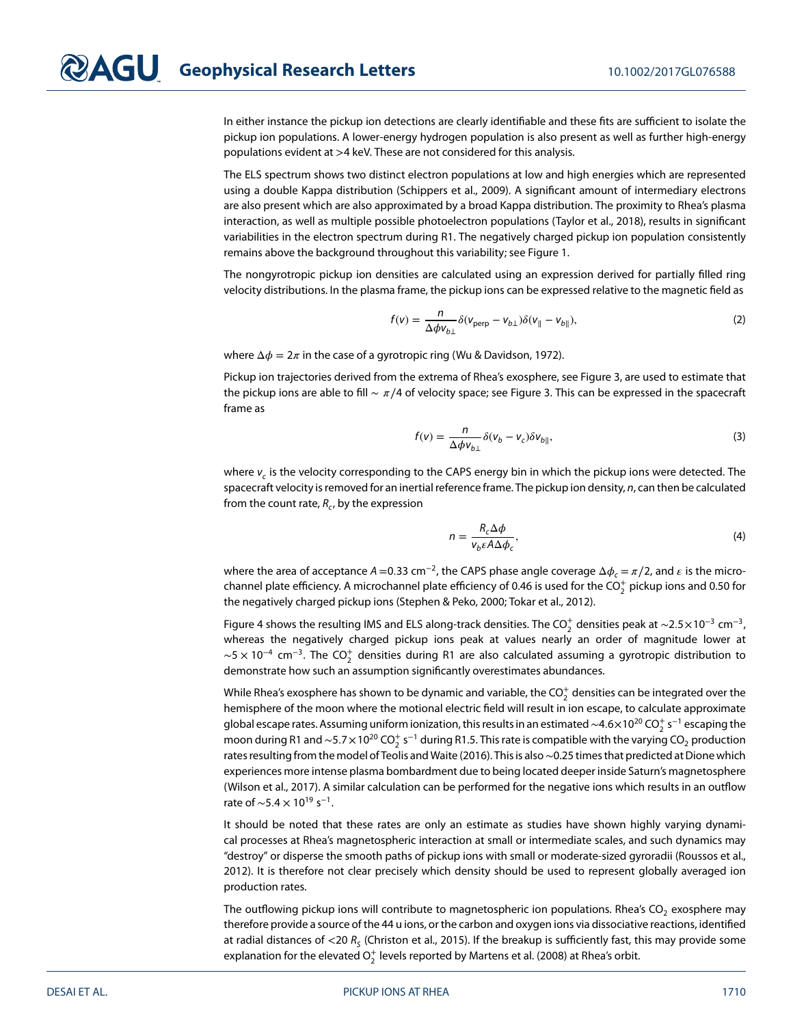In either instance the pickup ion detections are clearly identifiable and these fits are sufficient to isolate the pickup ion populations. A lower-energy hydrogen population is also present as well as further high-energy populations evident at *>*4 keV. These are not considered for this analysis.

The ELS spectrum shows two distinct electron populations at low and high energies which are represented using a double Kappa distribution (Schippers et al., [2009\)](#page-8-23). A significant amount of intermediary electrons are also present which are also approximated by a broad Kappa distribution. The proximity to Rhea's plasma interaction, as well as multiple possible photoelectron populations (Taylor et al., [2018\)](#page-8-24), results in significant variabilities in the electron spectrum during R1. The negatively charged pickup ion population consistently remains above the background throughout this variability; see Figure [1.](#page-1-0)

The nongyrotropic pickup ion densities are calculated using an expression derived for partially filled ring velocity distributions. In the plasma frame, the pickup ions can be expressed relative to the magnetic field as

$$
f(v) = \frac{n}{\Delta \phi v_{b\perp}} \delta(v_{\text{perp}} - v_{b\perp}) \delta(v_{\parallel} - v_{b\parallel}),
$$
 (2)

where  $\Delta \phi = 2\pi$  in the case of a gyrotropic ring (Wu & Davidson, [1972\)](#page-8-6).

Pickup ion trajectories derived from the extrema of Rhea's exosphere, see Figure [3,](#page-3-0) are used to estimate that the pickup ions are able to fill  $\sim \pi/4$  of velocity space; see Figure [3.](#page-3-0) This can be expressed in the spacecraft frame as

$$
f(v) = \frac{n}{\Delta \phi v_{b\perp}} \delta(v_b - v_c) \delta v_{b\parallel},
$$
\n(3)

where  $v_c$  is the velocity corresponding to the CAPS energy bin in which the pickup ions were detected. The spacecraft velocity is removed for an inertial reference frame. The pickup ion density, n, can then be calculated from the count rate,  $R_c$ , by the expression

$$
n = \frac{R_c \Delta \phi}{v_b \varepsilon A \Delta \phi_c},\tag{4}
$$

where the area of acceptance  $A = 0.33$  cm<sup>-2</sup>, the CAPS phase angle coverage  $\Delta \phi_c = \pi/2$ , and  $\epsilon$  is the microchannel plate efficiency. A microchannel plate efficiency of 0.46 is used for the CO $_2^+$  pickup ions and 0.50 for the negatively charged pickup ions (Stephen & Peko, [2000;](#page-8-25) Tokar et al., [2012\)](#page-8-1).

Figure [4](#page-4-0) shows the resulting IMS and ELS along-track densities. The CO<sup>+</sup> densities peak at ~2.5×10<sup>-3</sup> cm<sup>-3</sup>, whereas the negatively charged pickup ions peak at values nearly an order of magnitude lower at  $\sim$ 5 × 10<sup>-4</sup> cm<sup>-3</sup>. The CO $_2^+$  densities during R1 are also calculated assuming a gyrotropic distribution to demonstrate how such an assumption significantly overestimates abundances.

While Rhea's exosphere has shown to be dynamic and variable, the CO $_2^{\text{+}}$  densities can be integrated over the hemisphere of the moon where the motional electric field will result in ion escape, to calculate approximate global escape rates. Assuming uniform ionization, this results in an estimated ~4.6×10<sup>20</sup> CO<del>¦</del> s<sup>−1</sup> escaping the moon during R1 and ~5.7×10<sup>20</sup> CO<sup>+</sup> s<sup>−1</sup> during R1.5. This rate is compatible with the varying CO<sub>2</sub> production rates resulting from the model of Teolis and Waite [\(2016\)](#page-8-2). This is also∼0.25 times that predicted at Dione which experiences more intense plasma bombardment due to being located deeper inside Saturn's magnetosphere (Wilson et al., [2017\)](#page-8-26). A similar calculation can be performed for the negative ions which results in an outflow rate of ~5.4 × 10<sup>19</sup> s<sup>-1</sup>.

It should be noted that these rates are only an estimate as studies have shown highly varying dynamical processes at Rhea's magnetospheric interaction at small or intermediate scales, and such dynamics may "destroy" or disperse the smooth paths of pickup ions with small or moderate-sized gyroradii (Roussos et al., [2012\)](#page-8-27). It is therefore not clear precisely which density should be used to represent globally averaged ion production rates.

The outflowing pickup ions will contribute to magnetospheric ion populations. Rhea's  $CO<sub>2</sub>$  exosphere may therefore provide a source of the 44 u ions, or the carbon and oxygen ions via dissociative reactions, identified at radial distances of <20 R<sub>S</sub> (Christon et al., [2015\)](#page-7-20). If the breakup is sufficiently fast, this may provide some explanation for the elevated  $\mathrm{O}_2^+$  levels reported by Martens et al. [\(2008\)](#page-7-7) at Rhea's orbit.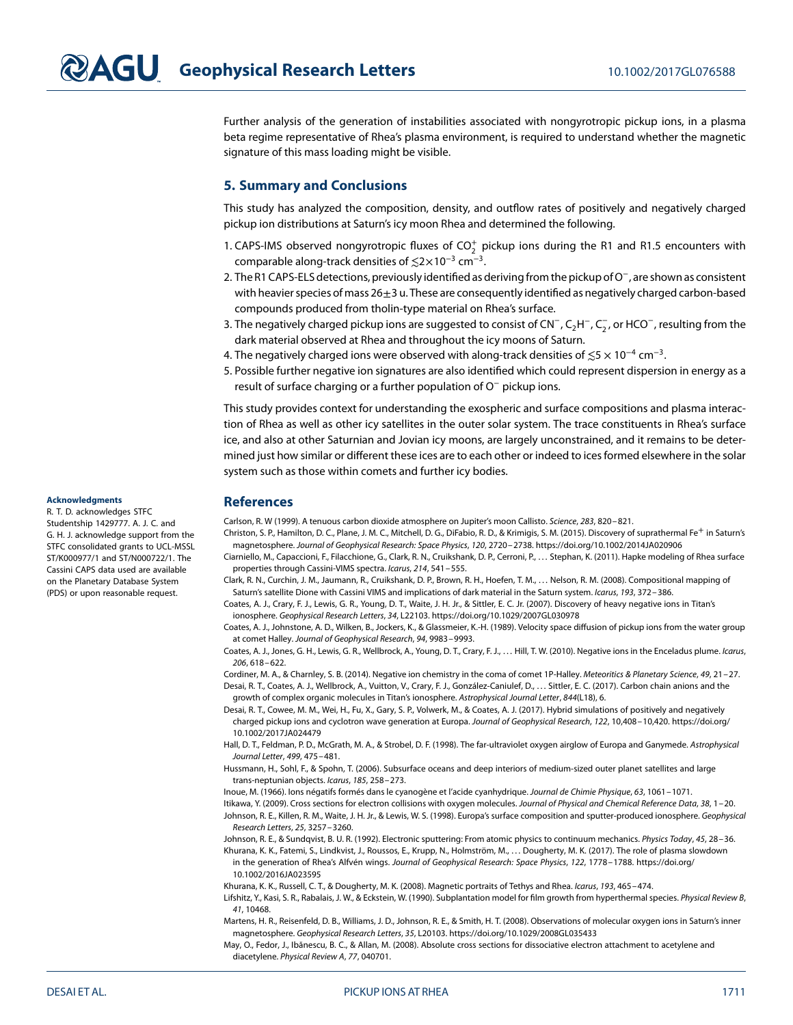Further analysis of the generation of instabilities associated with nongyrotropic pickup ions, in a plasma beta regime representative of Rhea's plasma environment, is required to understand whether the magnetic signature of this mass loading might be visible.

### **5. Summary and Conclusions**

This study has analyzed the composition, density, and outflow rates of positively and negatively charged pickup ion distributions at Saturn's icy moon Rhea and determined the following.

- 1. CAPS-IMS observed nongyrotropic fluxes of  $CO_2^+$  pickup ions during the R1 and R1.5 encounters with comparable along-track densities of *≲*2×10<sup>−</sup><sup>3</sup> cm<sup>−</sup>3.
- 2. The R1 CAPS-ELS detections, previously identified as derivingfrom the pickup of O<sup>−</sup>, are shown as consistent with heavier species of mass  $26\pm3$  u. These are consequently identified as negatively charged carbon-based compounds produced from tholin-type material on Rhea's surface.
- 3. The negatively charged pickup ions are suggested to consist of CN<sup>−</sup>, C<sub>2</sub>H<sup>−</sup>, C<sub>2</sub>, or HCO<sup>−</sup>, resulting from the dark material observed at Rhea and throughout the icy moons of Saturn.
- 4. The negatively charged ions were observed with along-track densities of *≲*5 × 10<sup>−</sup><sup>4</sup> cm<sup>−</sup>3.
- 5. Possible further negative ion signatures are also identified which could represent dispersion in energy as a result of surface charging or a further population of O<sup>−</sup> pickup ions.

This study provides context for understanding the exospheric and surface compositions and plasma interaction of Rhea as well as other icy satellites in the outer solar system. The trace constituents in Rhea's surface ice, and also at other Saturnian and Jovian icy moons, are largely unconstrained, and it remains to be determined just how similar or different these ices are to each other or indeed to ices formed elsewhere in the solar system such as those within comets and further icy bodies.

### <span id="page-7-0"></span>**References**

<span id="page-7-20"></span>Carlson, R. W (1999). A tenuous carbon dioxide atmosphere on Jupiter's moon Callisto. Science, 283, 820–821.

- <span id="page-7-12"></span><span id="page-7-8"></span><span id="page-7-2"></span>Christon, S. P., Hamilton, D. C., Plane, J. M. C., Mitchell, D. G., DiFabio, R. D., & Krimigis, S. M. (2015). Discovery of suprathermal Fe<sup>+</sup> in Saturn's magnetosphere. Journal of Geophysical Research: Space Physics, 120, 2720–2738.<https://doi.org/10.1002/2014JA020906>
	- Ciarniello, M., Capaccioni, F., Filacchione, G., Clark, R. N., Cruikshank, D. P., Cerroni, P.,…Stephan, K. (2011). Hapke modeling of Rhea surface properties through Cassini-VIMS spectra. Icarus, 214, 541–555.
	- Clark, R. N., Curchin, J. M., Jaumann, R., Cruikshank, D. P., Brown, R. H., Hoefen, T. M., …Nelson, R. M. (2008). Compositional mapping of Saturn's satellite Dione with Cassini VIMS and implications of dark material in the Saturn system. Icarus, 193, 372–386.
	- Coates, A. J., Crary, F. J., Lewis, G. R., Young, D. T., Waite, J. H. Jr., & Sittler, E. C. Jr. (2007). Discovery of heavy negative ions in Titan's ionosphere. Geophysical Research Letters, 34, L22103.<https://doi.org/10.1029/2007GL030978>
	- Coates, A. J., Johnstone, A. D., Wilken, B., Jockers, K., & Glassmeier, K.-H. (1989). Velocity space diffusion of pickup ions from the water group at comet Halley. Journal of Geophysical Research, 94, 9983–9993.
	- Coates, A. J., Jones, G. H., Lewis, G. R., Wellbrock, A., Young, D. T., Crary, F. J., …Hill, T. W. (2010). Negative ions in the Enceladus plume. Icarus, 206, 618–622.

<span id="page-7-19"></span><span id="page-7-18"></span><span id="page-7-11"></span><span id="page-7-6"></span>Cordiner, M. A., & Charnley, S. B. (2014). Negative ion chemistry in the coma of comet 1P-Halley. Meteoritics & Planetary Science, 49, 21–27. Desai, R. T., Coates, A. J., Wellbrock, A., Vuitton, V., Crary, F. J., González-Caniulef, D., …Sittler, E. C. (2017). Carbon chain anions and the growth of complex organic molecules in Titan's ionosphere. Astrophysical Journal Letter, 844(L18), 6.

- <span id="page-7-10"></span>Desai, R. T., Cowee, M. M., Wei, H., Fu, X., Gary, S. P., Volwerk, M., & Coates, A. J. (2017). Hybrid simulations of positively and negatively charged pickup ions and cyclotron wave generation at Europa. Journal of Geophysical Research, 122, 10,408–10,420. [https://doi.org/](https://doi.org/10.1002/2017JA024479) [10.1002/2017JA024479](https://doi.org/10.1002/2017JA024479)
- <span id="page-7-1"></span>Hall, D. T., Feldman, P. D., McGrath, M. A., & Strobel, D. F. (1998). The far-ultraviolet oxygen airglow of Europa and Ganymede. Astrophysical Journal Letter, 499, 475–481.
- <span id="page-7-3"></span>Hussmann, H., Sohl, F., & Spohn, T. (2006). Subsurface oceans and deep interiors of medium-sized outer planet satellites and large trans-neptunian objects. Icarus, 185, 258–273.
- <span id="page-7-13"></span><span id="page-7-9"></span>Inoue, M. (1966). Ions négatifs formés dans le cyanogène et l'acide cyanhydrique. Journal de Chimie Physique, 63, 1061–1071.

<span id="page-7-17"></span>Itikawa, Y. (2009). Cross sections for electron collisions with oxygen molecules. Journal of Physical and Chemical Reference Data, 38, 1–20. Johnson, R. E., Killen, R. M., Waite, J. H. Jr., & Lewis, W. S. (1998). Europa's surface composition and sputter-produced ionosphere. Geophysical Research Letters, 25, 3257–3260.

<span id="page-7-16"></span><span id="page-7-5"></span>Johnson, R. E., & Sundqvist, B. U. R. (1992). Electronic sputtering: From atomic physics to continuum mechanics. Physics Today, 45, 28-36.

Khurana, K. K., Fatemi, S., Lindkvist, J., Roussos, E., Krupp, N., Holmström, M., …Dougherty, M. K. (2017). The role of plasma slowdown in the generation of Rhea's Alfvén wings. Journal of Geophysical Research: Space Physics, 122, 1778–1788. [https://doi.org/](https://doi.org/10.1002/2016JA023595) [10.1002/2016JA023595](https://doi.org/10.1002/2016JA023595)

<span id="page-7-15"></span><span id="page-7-4"></span>Khurana, K. K., Russell, C. T., & Dougherty, M. K. (2008). Magnetic portraits of Tethys and Rhea. Icarus, 193, 465–474.

Lifshitz, Y., Kasi, S. R., Rabalais, J. W., & Eckstein, W. (1990). Subplantation model for film growth from hyperthermal species. Physical Review B, 41, 10468.

- <span id="page-7-7"></span>Martens, H. R., Reisenfeld, D. B., Williams, J. D., Johnson, R. E., & Smith, H. T. (2008). Observations of molecular oxygen ions in Saturn's inner magnetosphere. Geophysical Research Letters, 35, L20103.<https://doi.org/10.1029/2008GL035433>
- <span id="page-7-14"></span>May, O., Fedor, J., Ibănescu, B. C., & Allan, M. (2008). Absolute cross sections for dissociative electron attachment to acetylene and diacetylene. Physical Review A, 77, 040701.

#### **Acknowledgments**

R. T. D. acknowledges STFC Studentship 1429777. A. J. C. and G. H. J. acknowledge support from the STFC consolidated grants to UCL-MSSL ST/K000977/1 and ST/N000722/1. The Cassini CAPS data used are available on the Planetary Database System (PDS) or upon reasonable request.